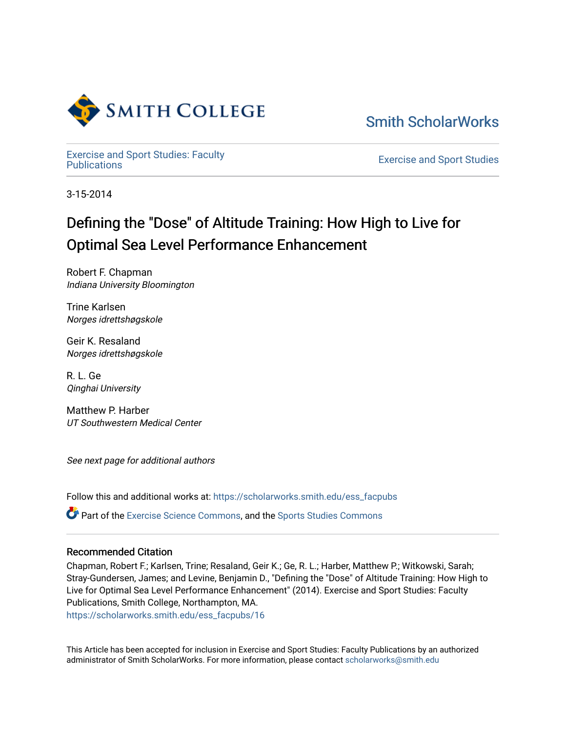

[Smith ScholarWorks](https://scholarworks.smith.edu/) 

[Exercise and Sport Studies: Faculty](https://scholarworks.smith.edu/ess_facpubs)

**Exercise and Sport Studies** 

3-15-2014

# Defining the "Dose" of Altitude Training: How High to Live for Optimal Sea Level Performance Enhancement

Robert F. Chapman Indiana University Bloomington

Trine Karlsen Norges idrettshøgskole

Geir K. Resaland Norges idrettshøgskole

R. L. Ge Qinghai University

Matthew P. Harber UT Southwestern Medical Center

See next page for additional authors

Follow this and additional works at: [https://scholarworks.smith.edu/ess\\_facpubs](https://scholarworks.smith.edu/ess_facpubs?utm_source=scholarworks.smith.edu%2Fess_facpubs%2F16&utm_medium=PDF&utm_campaign=PDFCoverPages)

**C**<sup> $\bullet$ </sup> Part of the [Exercise Science Commons](http://network.bepress.com/hgg/discipline/1091?utm_source=scholarworks.smith.edu%2Fess_facpubs%2F16&utm_medium=PDF&utm_campaign=PDFCoverPages), and the [Sports Studies Commons](http://network.bepress.com/hgg/discipline/1198?utm_source=scholarworks.smith.edu%2Fess_facpubs%2F16&utm_medium=PDF&utm_campaign=PDFCoverPages)

# Recommended Citation

Chapman, Robert F.; Karlsen, Trine; Resaland, Geir K.; Ge, R. L.; Harber, Matthew P.; Witkowski, Sarah; Stray-Gundersen, James; and Levine, Benjamin D., "Defining the "Dose" of Altitude Training: How High to Live for Optimal Sea Level Performance Enhancement" (2014). Exercise and Sport Studies: Faculty Publications, Smith College, Northampton, MA.

[https://scholarworks.smith.edu/ess\\_facpubs/16](https://scholarworks.smith.edu/ess_facpubs/16?utm_source=scholarworks.smith.edu%2Fess_facpubs%2F16&utm_medium=PDF&utm_campaign=PDFCoverPages) 

This Article has been accepted for inclusion in Exercise and Sport Studies: Faculty Publications by an authorized administrator of Smith ScholarWorks. For more information, please contact [scholarworks@smith.edu](mailto:scholarworks@smith.edu)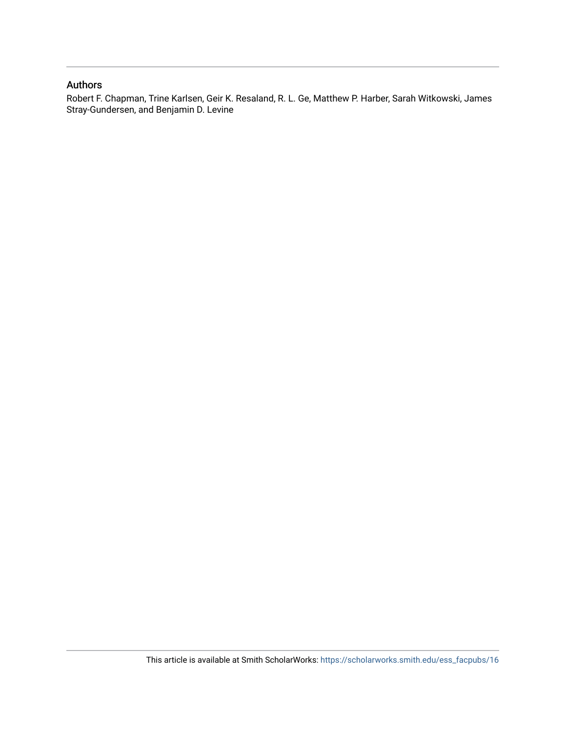# Authors

Robert F. Chapman, Trine Karlsen, Geir K. Resaland, R. L. Ge, Matthew P. Harber, Sarah Witkowski, James Stray-Gundersen, and Benjamin D. Levine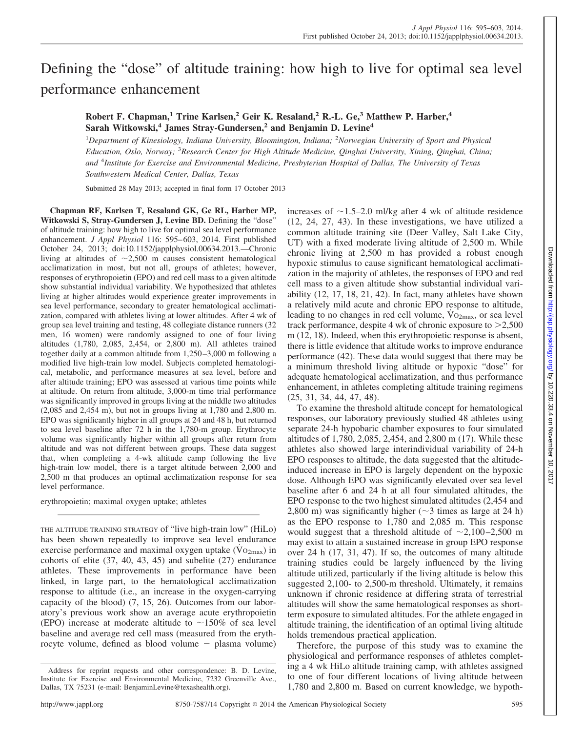# Defining the "dose" of altitude training: how high to live for optimal sea level performance enhancement

**Robert F. Chapman,<sup>1</sup> Trine Karlsen,<sup>2</sup> Geir K. Resaland,<sup>2</sup> R.-L. Ge,<sup>3</sup> Matthew P. Harber,<sup>4</sup> Sarah Witkowski,<sup>4</sup> James Stray-Gundersen,<sup>2</sup> and Benjamin D. Levine<sup>4</sup>**

1 *Department of Kinesiology, Indiana University, Bloomington, Indiana;* <sup>2</sup> *Norwegian University of Sport and Physical Education, Oslo, Norway;* <sup>3</sup> *Research Center for High Altitude Medicine, Qinghai University, Xining, Qinghai, China; and* <sup>4</sup> *Institute for Exercise and Environmental Medicine, Presbyterian Hospital of Dallas, The University of Texas Southwestern Medical Center, Dallas, Texas*

Submitted 28 May 2013; accepted in final form 17 October 2013

**Chapman RF, Karlsen T, Resaland GK, Ge RL, Harber MP, Witkowski S, Stray-Gundersen J, Levine BD.** Defining the "dose" of altitude training: how high to live for optimal sea level performance enhancement. *J Appl Physiol* 116: 595– 603, 2014. First published October 24, 2013; doi:10.1152/japplphysiol.00634.2013.—Chronic living at altitudes of  $\sim$ 2,500 m causes consistent hematological acclimatization in most, but not all, groups of athletes; however, responses of erythropoietin (EPO) and red cell mass to a given altitude show substantial individual variability. We hypothesized that athletes living at higher altitudes would experience greater improvements in sea level performance, secondary to greater hematological acclimatization, compared with athletes living at lower altitudes. After 4 wk of group sea level training and testing, 48 collegiate distance runners (32 men, 16 women) were randomly assigned to one of four living altitudes (1,780, 2,085, 2,454, or 2,800 m). All athletes trained together daily at a common altitude from 1,250 –3,000 m following a modified live high-train low model. Subjects completed hematological, metabolic, and performance measures at sea level, before and after altitude training; EPO was assessed at various time points while at altitude. On return from altitude, 3,000-m time trial performance was significantly improved in groups living at the middle two altitudes (2,085 and 2,454 m), but not in groups living at 1,780 and 2,800 m. EPO was significantly higher in all groups at 24 and 48 h, but returned to sea level baseline after 72 h in the 1,780-m group. Erythrocyte volume was significantly higher within all groups after return from altitude and was not different between groups. These data suggest that, when completing a 4-wk altitude camp following the live high-train low model, there is a target altitude between 2,000 and 2,500 m that produces an optimal acclimatization response for sea level performance.

erythropoietin; maximal oxygen uptake; athletes

THE ALTITUDE TRAINING STRATEGY of "live high-train low" (HiLo) has been shown repeatedly to improve sea level endurance exercise performance and maximal oxygen uptake  $(V_{{O}_{2max}})$  in cohorts of elite (37, 40, 43, 45) and subelite (27) endurance athletes. These improvements in performance have been linked, in large part, to the hematological acclimatization response to altitude (i.e., an increase in the oxygen-carrying capacity of the blood) (7, 15, 26). Outcomes from our laboratory's previous work show an average acute erythropoietin (EPO) increase at moderate altitude to  $\sim$ 150% of sea level baseline and average red cell mass (measured from the erythrocyte volume, defined as blood volume - plasma volume)

increases of  $\sim$ 1.5–2.0 ml/kg after 4 wk of altitude residence (12, 24, 27, 43). In these investigations, we have utilized a common altitude training site (Deer Valley, Salt Lake City, UT) with a fixed moderate living altitude of 2,500 m. While chronic living at 2,500 m has provided a robust enough hypoxic stimulus to cause significant hematological acclimatization in the majority of athletes, the responses of EPO and red cell mass to a given altitude show substantial individual variability (12, 17, 18, 21, 42). In fact, many athletes have shown a relatively mild acute and chronic EPO response to altitude, leading to no changes in red cell volume,  $\rm{Vo_{2max}}$ , or sea level track performance, despite 4 wk of chronic exposure to  $>2,500$ m (12, 18). Indeed, when this erythropoietic response is absent, there is little evidence that altitude works to improve endurance performance (42). These data would suggest that there may be a minimum threshold living altitude or hypoxic "dose" for adequate hematological acclimatization, and thus performance enhancement, in athletes completing altitude training regimens (25, 31, 34, 44, 47, 48).

To examine the threshold altitude concept for hematological responses, our laboratory previously studied 48 athletes using separate 24-h hypobaric chamber exposures to four simulated altitudes of 1,780, 2,085, 2,454, and 2,800 m (17). While these athletes also showed large interindividual variability of 24-h EPO responses to altitude, the data suggested that the altitudeinduced increase in EPO is largely dependent on the hypoxic dose. Although EPO was significantly elevated over sea level baseline after 6 and 24 h at all four simulated altitudes, the EPO response to the two highest simulated altitudes (2,454 and 2,800 m) was significantly higher  $(\sim$  3 times as large at 24 h) as the EPO response to 1,780 and 2,085 m. This response would suggest that a threshold altitude of  $\sim 2,100-2,500$  m may exist to attain a sustained increase in group EPO response over 24 h (17, 31, 47). If so, the outcomes of many altitude training studies could be largely influenced by the living altitude utilized, particularly if the living altitude is below this suggested 2,100- to 2,500-m threshold. Ultimately, it remains unknown if chronic residence at differing strata of terrestrial altitudes will show the same hematological responses as shortterm exposure to simulated altitudes. For the athlete engaged in altitude training, the identification of an optimal living altitude holds tremendous practical application.

Therefore, the purpose of this study was to examine the physiological and performance responses of athletes completing a 4 wk HiLo altitude training camp, with athletes assigned to one of four different locations of living altitude between 1,780 and 2,800 m. Based on current knowledge, we hypoth-

Address for reprint requests and other correspondence: B. D. Levine, Institute for Exercise and Environmental Medicine, 7232 Greenville Ave., Dallas, TX 75231 (e-mail: [BenjaminLevine@texashealth.org\)](mailto:BenjaminLevine@texashealth.org).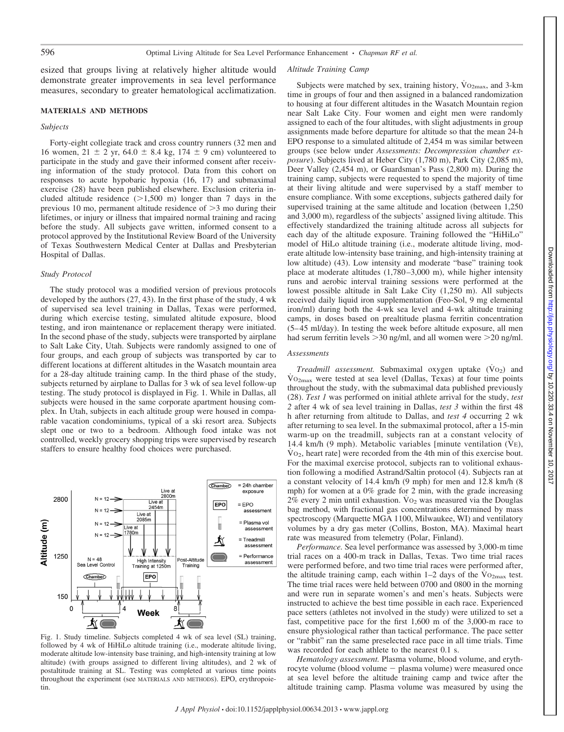esized that groups living at relatively higher altitude would demonstrate greater improvements in sea level performance measures, secondary to greater hematological acclimatization.

## **MATERIALS AND METHODS**

## *Subjects*

Forty-eight collegiate track and cross country runners (32 men and 16 women,  $21 \pm 2$  yr,  $64.0 \pm 8.4$  kg,  $174 \pm 9$  cm) volunteered to participate in the study and gave their informed consent after receiving information of the study protocol. Data from this cohort on responses to acute hypobaric hypoxia (16, 17) and submaximal exercise (28) have been published elsewhere. Exclusion criteria included altitude residence  $(>1,500 \text{ m})$  longer than 7 days in the previous 10 mo, permanent altitude residence of  $>$ 3 mo during their lifetimes, or injury or illness that impaired normal training and racing before the study. All subjects gave written, informed consent to a protocol approved by the Institutional Review Board of the University of Texas Southwestern Medical Center at Dallas and Presbyterian Hospital of Dallas.

#### *Study Protocol*

The study protocol was a modified version of previous protocols developed by the authors (27, 43). In the first phase of the study, 4 wk of supervised sea level training in Dallas, Texas were performed, during which exercise testing, simulated altitude exposure, blood testing, and iron maintenance or replacement therapy were initiated. In the second phase of the study, subjects were transported by airplane to Salt Lake City, Utah. Subjects were randomly assigned to one of four groups, and each group of subjects was transported by car to different locations at different altitudes in the Wasatch mountain area for a 28-day altitude training camp. In the third phase of the study, subjects returned by airplane to Dallas for 3 wk of sea level follow-up testing. The study protocol is displayed in Fig. 1. While in Dallas, all subjects were housed in the same corporate apartment housing complex. In Utah, subjects in each altitude group were housed in comparable vacation condominiums, typical of a ski resort area. Subjects slept one or two to a bedroom. Although food intake was not controlled, weekly grocery shopping trips were supervised by research staffers to ensure healthy food choices were purchased.



Fig. 1. Study timeline. Subjects completed 4 wk of sea level (SL) training, followed by 4 wk of HiHiLo altitude training (i.e., moderate altitude living, moderate altitude low-intensity base training, and high-intensity training at low altitude) (with groups assigned to different living altitudes), and 2 wk of postaltitude training at SL. Testing was completed at various time points throughout the experiment (see MATERIALS AND METHODS). EPO, erythropoietin.

#### *Altitude Training Camp*

Subjects were matched by sex, training history,  $\dot{V}$ O<sub>2max</sub>, and 3-km time in groups of four and then assigned in a balanced randomization to housing at four different altitudes in the Wasatch Mountain region near Salt Lake City. Four women and eight men were randomly assigned to each of the four altitudes, with slight adjustments in group assignments made before departure for altitude so that the mean 24-h EPO response to a simulated altitude of 2,454 m was similar between groups (see below under *Assessments: Decompression chamber exposure*). Subjects lived at Heber City (1,780 m), Park City (2,085 m), Deer Valley (2,454 m), or Guardsman's Pass (2,800 m). During the training camp, subjects were requested to spend the majority of time at their living altitude and were supervised by a staff member to ensure compliance. With some exceptions, subjects gathered daily for supervised training at the same altitude and location (between 1,250 and 3,000 m), regardless of the subjects' assigned living altitude. This effectively standardized the training altitude across all subjects for each day of the altitude exposure. Training followed the "HiHiLo" model of HiLo altitude training (i.e., moderate altitude living, moderate altitude low-intensity base training, and high-intensity training at low altitude) (43). Low intensity and moderate "base" training took place at moderate altitudes (1,780 –3,000 m), while higher intensity runs and aerobic interval training sessions were performed at the lowest possible altitude in Salt Lake City (1,250 m). All subjects received daily liquid iron supplementation (Feo-Sol, 9 mg elemental iron/ml) during both the 4-wk sea level and 4-wk altitude training camps, in doses based on prealtitude plasma ferritin concentration (5– 45 ml/day). In testing the week before altitude exposure, all men had serum ferritin levels  $>$  30 ng/ml, and all women were  $>$  20 ng/ml.

#### *Assessments*

*Treadmill assessment*. Submaximal oxygen uptake (Vo<sub>2</sub>) and  $\rm\dot{Vo}_{2max}$  were tested at sea level (Dallas, Texas) at four time points throughout the study, with the submaximal data published previously (28). *Test 1* was performed on initial athlete arrival for the study, *test 2* after 4 wk of sea level training in Dallas, *test 3* within the first 48 h after returning from altitude to Dallas, and *test 4* occurring 2 wk after returning to sea level. In the submaximal protocol, after a 15-min warm-up on the treadmill, subjects ran at a constant velocity of 14.4 km/h  $(9 \text{ mph})$ . Metabolic variables [minute ventilation (V $E$ ),  $\mathrm{Vo}_2$ , heart rate] were recorded from the 4th min of this exercise bout. For the maximal exercise protocol, subjects ran to volitional exhaustion following a modified Astrand/Saltin protocol (4). Subjects ran at a constant velocity of 14.4 km/h (9 mph) for men and 12.8 km/h (8 mph) for women at a 0% grade for 2 min, with the grade increasing  $2\%$  every 2 min until exhaustion. Vo<sub>2</sub> was measured via the Douglas bag method, with fractional gas concentrations determined by mass spectroscopy (Marquette MGA 1100, Milwaukee, WI) and ventilatory volumes by a dry gas meter (Collins, Boston, MA). Maximal heart rate was measured from telemetry (Polar, Finland).

*Performance.* Sea level performance was assessed by 3,000-m time trial races on a 400-m track in Dallas, Texas. Two time trial races were performed before, and two time trial races were performed after, the altitude training camp, each within  $1-2$  days of the  $\rm V_{O2max}$  test. The time trial races were held between 0700 and 0800 in the morning and were run in separate women's and men's heats. Subjects were instructed to achieve the best time possible in each race. Experienced pace setters (athletes not involved in the study) were utilized to set a fast, competitive pace for the first 1,600 m of the 3,000-m race to ensure physiological rather than tactical performance. The pace setter or "rabbit" ran the same preselected race pace in all time trials. Time was recorded for each athlete to the nearest 0.1 s.

*Hematology assessment.* Plasma volume, blood volume, and erythrocyte volume (blood volume - plasma volume) were measured once at sea level before the altitude training camp and twice after the altitude training camp. Plasma volume was measured by using the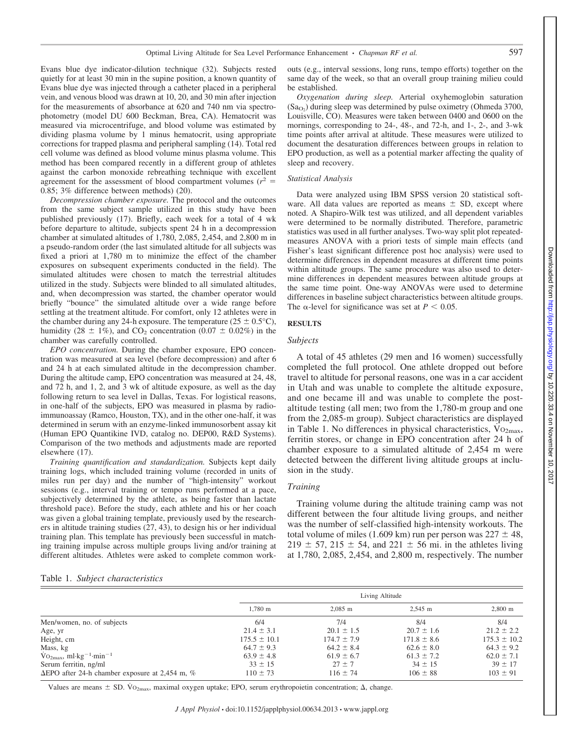Evans blue dye indicator-dilution technique (32). Subjects rested quietly for at least 30 min in the supine position, a known quantity of Evans blue dye was injected through a catheter placed in a peripheral vein, and venous blood was drawn at 10, 20, and 30 min after injection for the measurements of absorbance at 620 and 740 nm via spectrophotometry (model DU 600 Beckman, Brea, CA). Hematocrit was measured via microcentrifuge, and blood volume was estimated by dividing plasma volume by 1 minus hematocrit, using appropriate corrections for trapped plasma and peripheral sampling (14). Total red cell volume was defined as blood volume minus plasma volume. This method has been compared recently in a different group of athletes against the carbon monoxide rebreathing technique with excellent agreement for the assessment of blood compartment volumes  $(r^2 =$ 0.85; 3% difference between methods) (20).

*Decompression chamber exposure.* The protocol and the outcomes from the same subject sample utilized in this study have been published previously (17). Briefly, each week for a total of 4 wk before departure to altitude, subjects spent 24 h in a decompression chamber at simulated altitudes of 1,780, 2,085, 2,454, and 2,800 m in a pseudo-random order (the last simulated altitude for all subjects was fixed a priori at 1,780 m to minimize the effect of the chamber exposures on subsequent experiments conducted in the field). The simulated altitudes were chosen to match the terrestrial altitudes utilized in the study. Subjects were blinded to all simulated altitudes, and, when decompression was started, the chamber operator would briefly "bounce" the simulated altitude over a wide range before settling at the treatment altitude. For comfort, only 12 athletes were in the chamber during any 24-h exposure. The temperature ( $25 \pm 0.5^{\circ}$ C), humidity (28  $\pm$  1%), and CO<sub>2</sub> concentration (0.07  $\pm$  0.02%) in the chamber was carefully controlled.

*EPO concentration.* During the chamber exposure, EPO concentration was measured at sea level (before decompression) and after 6 and 24 h at each simulated altitude in the decompression chamber. During the altitude camp, EPO concentration was measured at 24, 48, and 72 h, and 1, 2, and 3 wk of altitude exposure, as well as the day following return to sea level in Dallas, Texas. For logistical reasons, in one-half of the subjects, EPO was measured in plasma by radioimmunoassay (Ramco, Houston, TX), and in the other one-half, it was determined in serum with an enzyme-linked immunosorbent assay kit (Human EPO Quantikine IVD, catalog no. DEP00, R&D Systems). Comparison of the two methods and adjustments made are reported elsewhere (17).

*Training quantification and standardization.* Subjects kept daily training logs, which included training volume (recorded in units of miles run per day) and the number of "high-intensity" workout sessions (e.g., interval training or tempo runs performed at a pace, subjectively determined by the athlete, as being faster than lactate threshold pace). Before the study, each athlete and his or her coach was given a global training template, previously used by the researchers in altitude training studies (27, 43), to design his or her individual training plan. This template has previously been successful in matching training impulse across multiple groups living and/or training at different altitudes. Athletes were asked to complete common workouts (e.g., interval sessions, long runs, tempo efforts) together on the same day of the week, so that an overall group training milieu could be established.

*Oxygenation during sleep.* Arterial oxyhemoglobin saturation  $(Sa<sub>O<sub>2</sub></sub>)$  during sleep was determined by pulse oximetry (Ohmeda 3700, Louisville, CO). Measures were taken between 0400 and 0600 on the mornings, corresponding to 24-, 48-, and 72-h, and 1-, 2-, and 3-wk time points after arrival at altitude. These measures were utilized to document the desaturation differences between groups in relation to EPO production, as well as a potential marker affecting the quality of sleep and recovery.

# *Statistical Analysis*

Data were analyzed using IBM SPSS version 20 statistical software. All data values are reported as means  $\pm$  SD, except where noted. A Shapiro-Wilk test was utilized, and all dependent variables were determined to be normally distributed. Therefore, parametric statistics was used in all further analyses. Two-way split plot repeatedmeasures ANOVA with a priori tests of simple main effects (and Fisher's least significant difference post hoc analysis) were used to determine differences in dependent measures at different time points within altitude groups. The same procedure was also used to determine differences in dependent measures between altitude groups at the same time point. One-way ANOVAs were used to determine differences in baseline subject characteristics between altitude groups. The  $\alpha$ -level for significance was set at  $P < 0.05$ .

# **RESULTS**

#### *Subjects*

A total of 45 athletes (29 men and 16 women) successfully completed the full protocol. One athlete dropped out before travel to altitude for personal reasons, one was in a car accident in Utah and was unable to complete the altitude exposure, and one became ill and was unable to complete the postaltitude testing (all men; two from the 1,780-m group and one from the 2,085-m group). Subject characteristics are displayed in Table 1. No differences in physical characteristics,  $\rm{Vo_{2max}}$ , ferritin stores, or change in EPO concentration after 24 h of chamber exposure to a simulated altitude of 2,454 m were detected between the different living altitude groups at inclusion in the study.

# *Training*

Training volume during the altitude training camp was not different between the four altitude living groups, and neither was the number of self-classified high-intensity workouts. The total volume of miles (1.609 km) run per person was  $227 \pm 48$ ,  $219 \pm 57$ ,  $215 \pm 54$ , and  $221 \pm 56$  mi. in the athletes living at 1,780, 2,085, 2,454, and 2,800 m, respectively. The number

Table 1. *Subject characteristics*

|                                                               | Living Altitude       |                 |                 |                       |  |  |
|---------------------------------------------------------------|-----------------------|-----------------|-----------------|-----------------------|--|--|
|                                                               | $1,780 \; \mathrm{m}$ | $2,085$ m       | 2,545 m         | $2,800 \; \mathrm{m}$ |  |  |
| Men/women, no. of subjects                                    | 6/4                   | 7/4             | 8/4             | 8/4                   |  |  |
| Age, yr                                                       | $21.4 \pm 3.1$        | $20.1 \pm 1.5$  | $20.7 \pm 1.6$  | $21.2 \pm 2.2$        |  |  |
| Height, cm                                                    | $175.5 \pm 10.1$      | $174.7 \pm 7.9$ | $171.8 \pm 8.6$ | $175.3 \pm 10.2$      |  |  |
| Mass, kg                                                      | $64.7 \pm 9.3$        | $64.2 \pm 8.4$  | $62.6 \pm 8.0$  | $64.3 \pm 9.2$        |  |  |
| $\mathrm{Vo_{2max}}$ , ml·kg <sup>-1</sup> ·min <sup>-1</sup> | $63.9 \pm 4.8$        | $61.9 \pm 6.7$  | $61.3 \pm 7.2$  | $62.0 \pm 7.1$        |  |  |
| Serum ferritin, ng/ml                                         | $33 \pm 15$           | $27 \pm 7$      | $34 \pm 15$     | $39 \pm 17$           |  |  |
| $\Delta EPO$ after 24-h chamber exposure at 2,454 m, %        | $110 \pm 73$          | $116 \pm 74$    | $106 \pm 88$    | $103 \pm 91$          |  |  |

Values are means  $\pm$  SD. V $O_{2\text{max}}$ , maximal oxygen uptake; EPO, serum erythropoietin concentration;  $\Delta$ , change.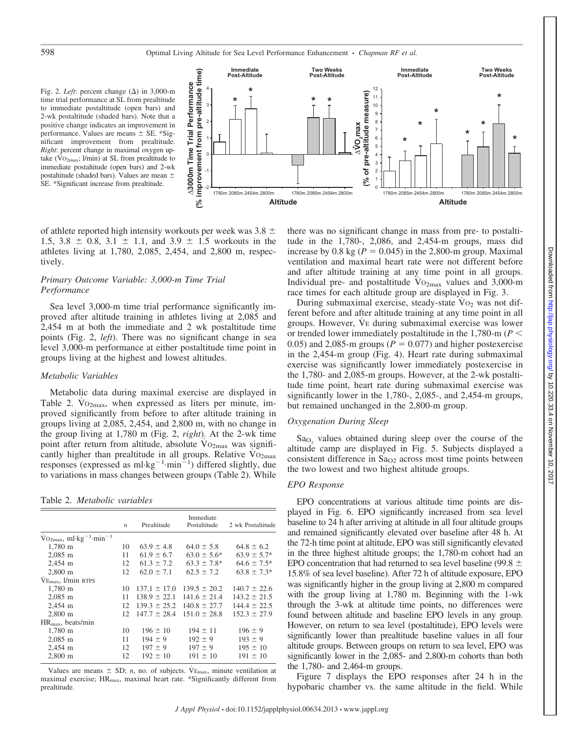Fig. 2. *Left*: percent change  $(\Delta)$  in 3,000-m time trial performance at SL from prealtitude to immediate postaltitude (open bars) and 2-wk postaltitude (shaded bars). Note that a positive change indicates an improvement in performance. Values are means  $\pm$  SE. \*Significant improvement from prealtitude. *Right*: percent change in maximal oxygen uptake (V<sub>O2max</sub>; l/min) at SL from prealtitude to immediate postaltitude (open bars) and 2-wk postaltitude (shaded bars). Values are mean SE. \*Significant increase from prealtitude.



of athlete reported high intensity workouts per week was  $3.8 \pm$ 1.5, 3.8  $\pm$  0.8, 3.1  $\pm$  1.1, and 3.9  $\pm$  1.5 workouts in the athletes living at 1,780, 2,085, 2,454, and 2,800 m, respectively.

# *Primary Outcome Variable: 3,000-m Time Trial Performance*

Sea level 3,000-m time trial performance significantly improved after altitude training in athletes living at 2,085 and 2,454 m at both the immediate and 2 wk postaltitude time points (Fig. 2, *left*). There was no significant change in sea level 3,000-m performance at either postaltitude time point in groups living at the highest and lowest altitudes.

# *Metabolic Variables*

Metabolic data during maximal exercise are displayed in Table 2.  $Vo_{2max}$ , when expressed as liters per minute, improved significantly from before to after altitude training in groups living at 2,085, 2,454, and 2,800 m, with no change in the group living at 1,780 m (Fig. 2, *right*). At the 2-wk time point after return from altitude, absolute  $Vo_{2max}$  was significantly higher than prealtitude in all groups. Relative  $\rm Vo_{2max}$ responses (expressed as  $ml \cdot kg^{-1} \cdot min^{-1}$ ) differed slightly, due to variations in mass changes between groups (Table 2). While

Table 2. *Metabolic variables*

|                                                               | Immediate        |                  |                                   |                   |
|---------------------------------------------------------------|------------------|------------------|-----------------------------------|-------------------|
|                                                               | $\boldsymbol{n}$ | Prealtitude      | Postaltitude                      | 2 wk Postaltitude |
| $\mathrm{Vo_{2max}}$ , ml·kg <sup>-1</sup> ·min <sup>-1</sup> |                  |                  |                                   |                   |
| 1,780 m                                                       | 10               | $63.9 \pm 4.8$   | $64.0 \pm 5.8$                    | $64.8 \pm 6.2$    |
| $2,085$ m                                                     | 11               | $61.9 \pm 6.7$   | $63.0 \pm 5.6^*$                  | $63.9 \pm 5.7*$   |
| 2,454 m                                                       | 12               | $61.3 \pm 7.2$   | $63.3 \pm 7.8^*$                  | $64.6 \pm 7.5*$   |
| $2,800 \; \mathrm{m}$                                         | 12               | $62.0 \pm 7.1$   | $62.5 \pm 7.2$                    | $63.8 \pm 7.3*$   |
| $V_{\text{Emax}}$ , $1/\text{min}$ BTPS                       |                  |                  |                                   |                   |
| $1.780 \; \mathrm{m}$                                         | 10               |                  | $137.1 \pm 17.0$ $139.5 \pm 20.2$ | $140.7 \pm 22.6$  |
| $2,085$ m                                                     | 11               | $138.9 \pm 22.1$ | $141.6 \pm 21.4$                  | $143.2 \pm 21.5$  |
| 2,454 m                                                       | 12               | $139.3 \pm 25.2$ | $140.8 \pm 27.7$                  | $1444 + 225$      |
| $2,800 \; \mathrm{m}$                                         | 12               | $147.7 \pm 28.4$ | $151.0 \pm 28.8$                  | $152.3 \pm 27.9$  |
| $HR_{max}$ , beats/min                                        |                  |                  |                                   |                   |
| 1,780 m                                                       | 10               | $196 \pm 10$     | $194 \pm 11$                      | $196 \pm 9$       |
| $2,085$ m                                                     | 11               | $194 \pm 9$      | $192 \pm 9$                       | $193 \pm 9$       |
| 2,454 m                                                       | 12               | $197 \pm 9$      | $197 \pm 9$                       | $195 \pm 10$      |
| $2,800 \; \mathrm{m}$                                         | 12               | $192 \pm 10$     | $191 \pm 10$                      | $191 \pm 10$      |

Values are means  $\pm$  SD; *n*, no. of subjects. V<sub>Emax</sub>, minute ventilation at maximal exercise; HR<sub>max</sub>, maximal heart rate. \*Significantly different from prealtitude.

there was no significant change in mass from pre- to postaltitude in the 1,780-, 2,086, and 2,454-m groups, mass did increase by 0.8 kg ( $P = 0.045$ ) in the 2,800-m group. Maximal ventilation and maximal heart rate were not different before and after altitude training at any time point in all groups. Individual pre- and postaltitude  $Vo_{2max}$  values and 3,000-m race times for each altitude group are displayed in Fig. 3.

During submaximal exercise, steady-state  $Vo<sub>2</sub>$  was not different before and after altitude training at any time point in all groups. However, VE during submaximal exercise was lower or trended lower immediately postaltitude in the 1,780-m (*P* 0.05) and 2,085-m groups ( $P = 0.077$ ) and higher postexercise in the 2,454-m group (Fig. 4). Heart rate during submaximal exercise was significantly lower immediately postexercise in the 1,780- and 2,085-m groups. However, at the 2-wk postaltitude time point, heart rate during submaximal exercise was significantly lower in the 1,780-, 2,085-, and 2,454-m groups, but remained unchanged in the 2,800-m group.

# *Oxygenation During Sleep*

Sa<sub>O</sub>, values obtained during sleep over the course of the altitude camp are displayed in Fig. 5. Subjects displayed a consistent difference in  $Sa<sub>O2</sub>$  across most time points between the two lowest and two highest altitude groups.

#### *EPO Response*

EPO concentrations at various altitude time points are displayed in Fig. 6. EPO significantly increased from sea level baseline to 24 h after arriving at altitude in all four altitude groups and remained significantly elevated over baseline after 48 h. At the 72-h time point at altitude, EPO was still significantly elevated in the three highest altitude groups; the 1,780-m cohort had an EPO concentration that had returned to sea level baseline (99.8  $\pm$ 15.8% of sea level baseline). After 72 h of altitude exposure, EPO was significantly higher in the group living at 2,800 m compared with the group living at 1,780 m. Beginning with the 1-wk through the 3-wk at altitude time points, no differences were found between altitude and baseline EPO levels in any group. However, on return to sea level (postaltitude), EPO levels were significantly lower than prealtitude baseline values in all four altitude groups. Between groups on return to sea level, EPO was significantly lower in the 2,085- and 2,800-m cohorts than both the 1,780- and 2,464-m groups.

Figure 7 displays the EPO responses after 24 h in the hypobaric chamber vs. the same altitude in the field. While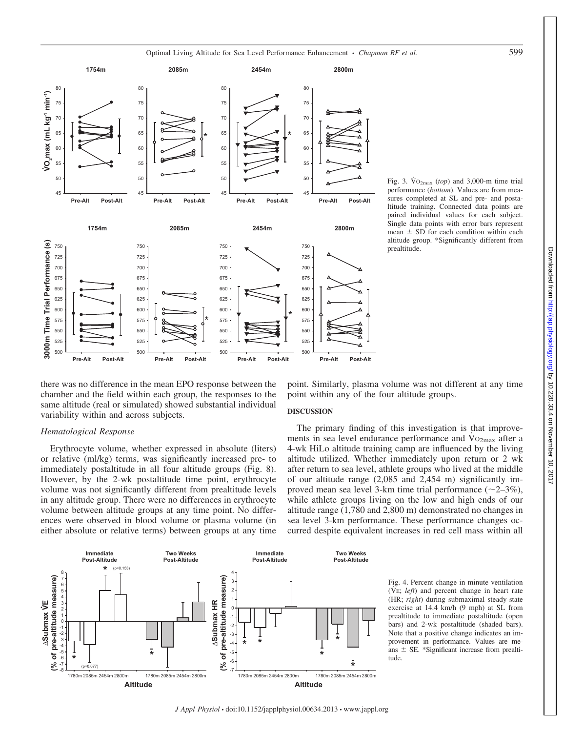

Fig. 3.  $\text{Vo}_{2\text{max}}$  (*top*) and 3,000-m time trial performance (*bottom*). Values are from measures completed at SL and pre- and postaltitude training. Connected data points are paired individual values for each subject. Single data points with error bars represent mean  $\pm$  SD for each condition within each altitude group. \*Significantly different from prealtitude.

there was no difference in the mean EPO response between the chamber and the field within each group, the responses to the same altitude (real or simulated) showed substantial individual variability within and across subjects.

# *Hematological Response*

Erythrocyte volume, whether expressed in absolute (liters) or relative (ml/kg) terms, was significantly increased pre- to immediately postaltitude in all four altitude groups (Fig. 8). However, by the 2-wk postaltitude time point, erythrocyte volume was not significantly different from prealtitude levels in any altitude group. There were no differences in erythrocyte volume between altitude groups at any time point. No differences were observed in blood volume or plasma volume (in either absolute or relative terms) between groups at any time



point. Similarly, plasma volume was not different at any time point within any of the four altitude groups.

### **DISCUSSION**

The primary finding of this investigation is that improvements in sea level endurance performance and  $Vo_{2max}$  after a 4-wk HiLo altitude training camp are influenced by the living altitude utilized. Whether immediately upon return or 2 wk after return to sea level, athlete groups who lived at the middle of our altitude range (2,085 and 2,454 m) significantly improved mean sea level 3-km time trial performance  $(\sim 2-3\%)$ , while athlete groups living on the low and high ends of our altitude range (1,780 and 2,800 m) demonstrated no changes in sea level 3-km performance. These performance changes occurred despite equivalent increases in red cell mass within all

> Fig. 4. Percent change in minute ventilation  $(VE; left)$  and percent change in heart rate (HR; *right*) during submaximal steady-state exercise at 14.4 km/h (9 mph) at SL from prealtitude to immediate postaltitude (open bars) and 2-wk postaltitude (shaded bars). Note that a positive change indicates an improvement in performance. Values are means  $\pm$  SE. \*Significant increase from prealtitude.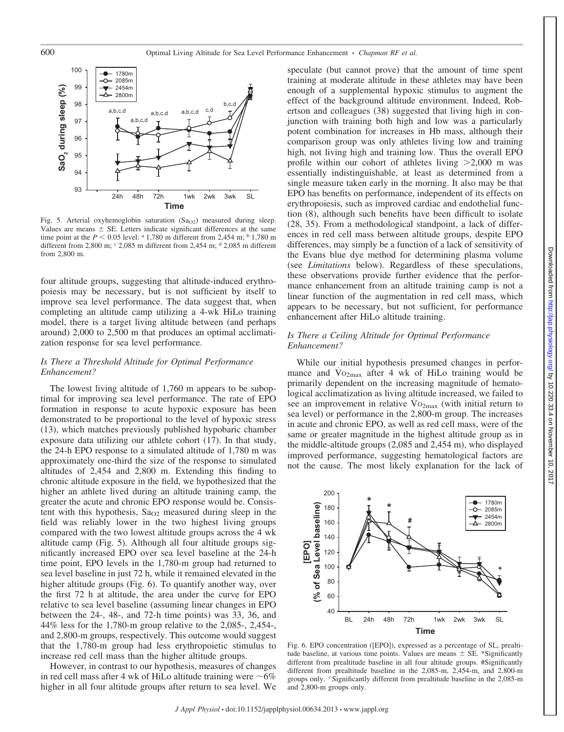

Fig. 5. Arterial oxyhemoglobin saturation  $(Sa<sub>O2</sub>)$  measured during sleep. Values are means  $\pm$  SE. Letters indicate significant differences at the same time point at the  $P < 0.05$  level: <sup>a</sup> 1,780 m different from 2,454 m; <sup>b</sup> 1,780 m different from 2,800 m;  $\degree$  2,085 m different from 2,454 m;  $\degree$  2,085 m different from 2,800 m.

four altitude groups, suggesting that altitude-induced erythropoiesis may be necessary, but is not sufficient by itself to improve sea level performance. The data suggest that, when completing an altitude camp utilizing a 4-wk HiLo training model, there is a target living altitude between (and perhaps around) 2,000 to 2,500 m that produces an optimal acclimatization response for sea level performance.

# *Is There a Threshold Altitude for Optimal Performance Enhancement?*

The lowest living altitude of 1,760 m appears to be suboptimal for improving sea level performance. The rate of EPO formation in response to acute hypoxic exposure has been demonstrated to be proportional to the level of hypoxic stress (13), which matches previously published hypobaric chamber exposure data utilizing our athlete cohort (17). In that study, the 24-h EPO response to a simulated altitude of 1,780 m was approximately one-third the size of the response to simulated altitudes of 2,454 and 2,800 m. Extending this finding to chronic altitude exposure in the field, we hypothesized that the higher an athlete lived during an altitude training camp, the greater the acute and chronic EPO response would be. Consistent with this hypothesis,  $Sa<sub>O2</sub>$  measured during sleep in the field was reliably lower in the two highest living groups compared with the two lowest altitude groups across the 4 wk altitude camp (Fig. 5). Although all four altitude groups significantly increased EPO over sea level baseline at the 24-h time point, EPO levels in the 1,780-m group had returned to sea level baseline in just 72 h, while it remained elevated in the higher altitude groups (Fig. 6). To quantify another way, over the first 72 h at altitude, the area under the curve for EPO relative to sea level baseline (assuming linear changes in EPO between the 24-, 48-, and 72-h time points) was 33, 36, and 44% less for the 1,780-m group relative to the 2,085-, 2,454-, and 2,800-m groups, respectively. This outcome would suggest that the 1,780-m group had less erythropoietic stimulus to increase red cell mass than the higher altitude groups.

However, in contrast to our hypothesis, measures of changes in red cell mass after 4 wk of HiLo altitude training were  $\sim$ 6% higher in all four altitude groups after return to sea level. We

speculate (but cannot prove) that the amount of time spent training at moderate altitude in these athletes may have been enough of a supplemental hypoxic stimulus to augment the effect of the background altitude environment. Indeed, Robertson and colleagues (38) suggested that living high in conjunction with training both high and low was a particularly potent combination for increases in Hb mass, although their comparison group was only athletes living low and training high, not living high and training low. Thus the overall EPO profile within our cohort of athletes living  $>2,000$  m was essentially indistinguishable, at least as determined from a single measure taken early in the morning. It also may be that EPO has benefits on performance, independent of its effects on erythropoiesis, such as improved cardiac and endothelial function (8), although such benefits have been difficult to isolate (28, 35). From a methodological standpoint, a lack of differences in red cell mass between altitude groups, despite EPO differences, may simply be a function of a lack of sensitivity of the Evans blue dye method for determining plasma volume (see *Limitations* below). Regardless of these speculations, these observations provide further evidence that the performance enhancement from an altitude training camp is not a linear function of the augmentation in red cell mass, which appears to be necessary, but not sufficient, for performance enhancement after HiLo altitude training.

# *Is There a Ceiling Altitude for Optimal Performance Enhancement?*

While our initial hypothesis presumed changes in performance and  $Vo_{2max}$  after 4 wk of HiLo training would be primarily dependent on the increasing magnitude of hematological acclimatization as living altitude increased, we failed to see an improvement in relative  $\rm{Vo_{2max}}$  (with initial return to sea level) or performance in the 2,800-m group. The increases in acute and chronic EPO, as well as red cell mass, were of the same or greater magnitude in the highest altitude group as in the middle-altitude groups (2,085 and 2,454 m), who displayed improved performance, suggesting hematological factors are not the cause. The most likely explanation for the lack of



Fig. 6. EPO concentration ([EPO]), expressed as a percentage of SL, prealtitude baseline, at various time points. Values are means  $\pm$  SE. \*Significantly different from prealtitude baseline in all four altitude groups. #Significantly different from prealtitude baseline in the 2,085-m, 2,454-m, and 2,800-m groups only. Significantly different from prealtitude baseline in the 2,085-m and 2,800-m groups only.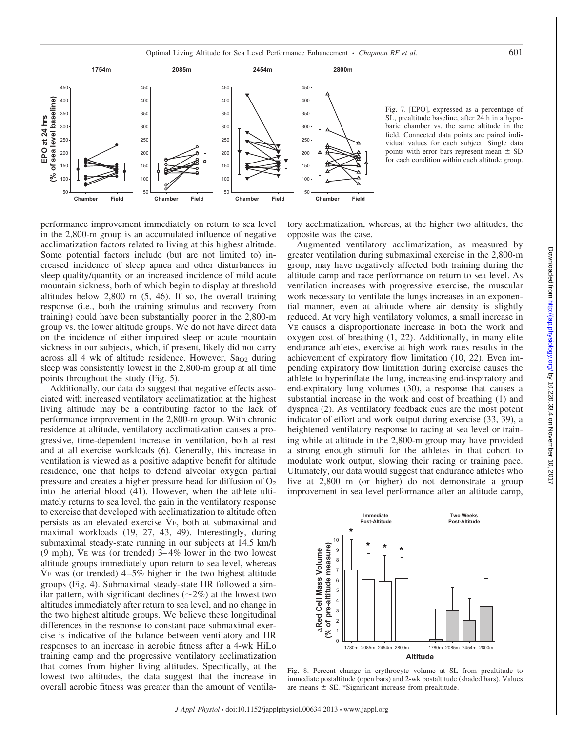

Fig. 7. [EPO], expressed as a percentage of SL, prealtitude baseline, after 24 h in a hypobaric chamber vs. the same altitude in the field. Connected data points are paired individual values for each subject. Single data points with error bars represent mean  $\pm$  SD for each condition within each altitude group.

performance improvement immediately on return to sea level in the 2,800-m group is an accumulated influence of negative acclimatization factors related to living at this highest altitude. Some potential factors include (but are not limited to) increased incidence of sleep apnea and other disturbances in sleep quality/quantity or an increased incidence of mild acute mountain sickness, both of which begin to display at threshold altitudes below 2,800 m (5, 46). If so, the overall training response (i.e., both the training stimulus and recovery from training) could have been substantially poorer in the 2,800-m group vs. the lower altitude groups. We do not have direct data on the incidence of either impaired sleep or acute mountain sickness in our subjects, which, if present, likely did not carry across all 4 wk of altitude residence. However,  $Sa<sub>O2</sub>$  during sleep was consistently lowest in the 2,800-m group at all time points throughout the study (Fig. 5).

Additionally, our data do suggest that negative effects associated with increased ventilatory acclimatization at the highest living altitude may be a contributing factor to the lack of performance improvement in the 2,800-m group. With chronic residence at altitude, ventilatory acclimatization causes a progressive, time-dependent increase in ventilation, both at rest and at all exercise workloads (6). Generally, this increase in ventilation is viewed as a positive adaptive benefit for altitude residence, one that helps to defend alveolar oxygen partial pressure and creates a higher pressure head for diffusion of  $O<sub>2</sub>$ into the arterial blood (41). However, when the athlete ultimately returns to sea level, the gain in the ventilatory response to exercise that developed with acclimatization to altitude often persists as an elevated exercise VE, both at submaximal and maximal workloads (19, 27, 43, 49). Interestingly, during submaximal steady-state running in our subjects at 14.5 km/h (9 mph), VE was (or trended)  $3-4\%$  lower in the two lowest altitude groups immediately upon return to sea level, whereas V $E$  was (or trended)  $4-5\%$  higher in the two highest altitude groups (Fig. 4). Submaximal steady-state HR followed a similar pattern, with significant declines  $(\sim 2\%)$  at the lowest two altitudes immediately after return to sea level, and no change in the two highest altitude groups. We believe these longitudinal differences in the response to constant pace submaximal exercise is indicative of the balance between ventilatory and HR responses to an increase in aerobic fitness after a 4-wk HiLo training camp and the progressive ventilatory acclimatization that comes from higher living altitudes. Specifically, at the lowest two altitudes, the data suggest that the increase in overall aerobic fitness was greater than the amount of ventilatory acclimatization, whereas, at the higher two altitudes, the opposite was the case.

Augmented ventilatory acclimatization, as measured by greater ventilation during submaximal exercise in the 2,800-m group, may have negatively affected both training during the altitude camp and race performance on return to sea level. As ventilation increases with progressive exercise, the muscular work necessary to ventilate the lungs increases in an exponential manner, even at altitude where air density is slightly reduced. At very high ventilatory volumes, a small increase in VE causes a disproportionate increase in both the work and oxygen cost of breathing (1, 22). Additionally, in many elite endurance athletes, exercise at high work rates results in the achievement of expiratory flow limitation (10, 22). Even impending expiratory flow limitation during exercise causes the athlete to hyperinflate the lung, increasing end-inspiratory and end-expiratory lung volumes (30), a response that causes a substantial increase in the work and cost of breathing (1) and dyspnea (2). As ventilatory feedback cues are the most potent indicator of effort and work output during exercise (33, 39), a heightened ventilatory response to racing at sea level or training while at altitude in the 2,800-m group may have provided a strong enough stimuli for the athletes in that cohort to modulate work output, slowing their racing or training pace. Ultimately, our data would suggest that endurance athletes who live at 2,800 m (or higher) do not demonstrate a group improvement in sea level performance after an altitude camp,



Fig. 8. Percent change in erythrocyte volume at SL from prealtitude to immediate postaltitude (open bars) and 2-wk postaltitude (shaded bars). Values are means  $\pm$  SE. \*Significant increase from prealtitude.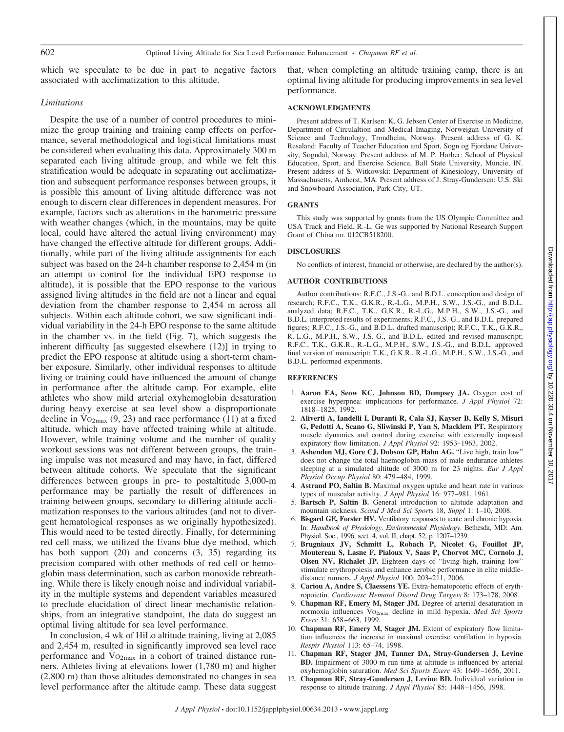which we speculate to be due in part to negative factors associated with acclimatization to this altitude.

# *Limitations*

Despite the use of a number of control procedures to minimize the group training and training camp effects on performance, several methodological and logistical limitations must be considered when evaluating this data. Approximately 300 m separated each living altitude group, and while we felt this stratification would be adequate in separating out acclimatization and subsequent performance responses between groups, it is possible this amount of living altitude difference was not enough to discern clear differences in dependent measures. For example, factors such as alterations in the barometric pressure with weather changes (which, in the mountains, may be quite local, could have altered the actual living environment) may have changed the effective altitude for different groups. Additionally, while part of the living altitude assignments for each subject was based on the 24-h chamber response to 2,454 m (in an attempt to control for the individual EPO response to altitude), it is possible that the EPO response to the various assigned living altitudes in the field are not a linear and equal deviation from the chamber response to 2,454 m across all subjects. Within each altitude cohort, we saw significant individual variability in the 24-h EPO response to the same altitude in the chamber vs. in the field (Fig. 7), which suggests the inherent difficulty [as suggested elsewhere (12)] in trying to predict the EPO response at altitude using a short-term chamber exposure. Similarly, other individual responses to altitude living or training could have influenced the amount of change in performance after the altitude camp. For example, elite athletes who show mild arterial oxyhemoglobin desaturation during heavy exercise at sea level show a disproportionate decline in  $Vo_{2max}$  (9, 23) and race performance (11) at a fixed altitude, which may have affected training while at altitude. However, while training volume and the number of quality workout sessions was not different between groups, the training impulse was not measured and may have, in fact, differed between altitude cohorts. We speculate that the significant differences between groups in pre- to postaltitude 3,000-m performance may be partially the result of differences in training between groups, secondary to differing altitude acclimatization responses to the various altitudes (and not to divergent hematological responses as we originally hypothesized). This would need to be tested directly. Finally, for determining red cell mass, we utilized the Evans blue dye method, which has both support (20) and concerns (3, 35) regarding its precision compared with other methods of red cell or hemoglobin mass determination, such as carbon monoxide rebreathing. While there is likely enough noise and individual variability in the multiple systems and dependent variables measured to preclude elucidation of direct linear mechanistic relationships, from an integrative standpoint, the data do suggest an optimal living altitude for sea level performance.

In conclusion, 4 wk of HiLo altitude training, living at 2,085 and 2,454 m, resulted in significantly improved sea level race performance and  $Vo_{2max}$  in a cohort of trained distance runners. Athletes living at elevations lower (1,780 m) and higher (2,800 m) than those altitudes demonstrated no changes in sea level performance after the altitude camp. These data suggest

that, when completing an altitude training camp, there is an optimal living altitude for producing improvements in sea level performance.

### **ACKNOWLEDGMENTS**

Present address of T. Karlsen: K. G. Jebsen Center of Exercise in Medicine, Department of Circulaltion and Medical Imaging, Norweigan University of Science and Technology, Trondheim, Norway. Present address of G. K. Resaland: Faculty of Teacher Education and Sport, Sogn og Fjordane University, Sogndal, Norway. Present address of M. P. Harber: School of Physical Education, Sport, and Exercise Science, Ball State University, Muncie, IN. Present address of S. Witkowski: Department of Kinesiology, University of Massachusetts, Amherst, MA. Present address of J. Stray-Gundersen: U.S. Ski and Snowboard Association, Park City, UT.

#### **GRANTS**

This study was supported by grants from the US Olympic Committee and USA Track and Field. R.-L. Ge was supported by National Research Support Grant of China no. 012CB518200.

#### **DISCLOSURES**

No conflicts of interest, financial or otherwise, are declared by the author(s).

# **AUTHOR CONTRIBUTIONS**

Author contributions: R.F.C., J.S.-G., and B.D.L. conception and design of research; R.F.C., T.K., G.K.R., R.-L.G., M.P.H., S.W., J.S.-G., and B.D.L. analyzed data; R.F.C., T.K., G.K.R., R.-L.G., M.P.H., S.W., J.S.-G., and B.D.L. interpreted results of experiments; R.F.C., J.S.-G., and B.D.L. prepared figures; R.F.C., J.S.-G., and B.D.L. drafted manuscript; R.F.C., T.K., G.K.R., R.-L.G., M.P.H., S.W., J.S.-G., and B.D.L. edited and revised manuscript; R.F.C., T.K., G.K.R., R.-L.G., M.P.H., S.W., J.S.-G., and B.D.L. approved final version of manuscript; T.K., G.K.R., R.-L.G., M.P.H., S.W., J.S.-G., and B.D.L. performed experiments.

### **REFERENCES**

- 1. **Aaron EA, Seow KC, Johnson BD, Dempsey JA.** Oxygen cost of exercise hyperpnea: implications for performance. *J Appl Physiol* 72: 1818 –1825, 1992.
- 2. **Aliverti A, Iandelli I, Duranti R, Cala SJ, Kayser B, Kelly S, Misuri G, Pedotti A, Scano G, Sliwinski P, Yan S, Macklem PT.** Respiratory muscle dynamics and control during exercise with externally imposed expiratory flow limitation. *J Appl Physiol* 92: 1953–1963, 2002.
- 3. **Ashenden MJ, Gore CJ, Dobson GP, Hahn AG.** "Live high, train low" does not change the total haemoglobin mass of male endurance athletes sleeping at a simulated altitude of 3000 m for 23 nights. *Eur J Appl Physiol Occup Physiol* 80: 479 –484, 1999.
- 4. **Astrand PO, Saltin B.** Maximal oxygen uptake and heart rate in various types of muscular activity. *J Appl Physiol* 16: 977–981, 1961.
- 5. **Bartsch P, Saltin B.** General introduction to altitude adaptation and mountain sickness. *Scand J Med Sci Sports* 18, *Suppl* 1: 1–10, 2008.
- 6. **Bisgard GE, Forster HV.** Ventilatory responses to acute and chronic hypoxia. In: *Handbook of Physiology*. *Environmental Physiology*. Bethesda, MD: Am. Physiol. Soc., 1996, sect. 4, vol. II, chapt. 52, p. 1207–1239.
- 7. **Brugniaux JV, Schmitt L, Robach P, Nicolet G, Fouillot JP, Moutereau S, Lasne F, Pialoux V, Saas P, Chorvot MC, Cornolo J, Olsen NV, Richalet JP.** Eighteen days of "living high, training low" stimulate erythropoiesis and enhance aerobic performance in elite middledistance runners. *J Appl Physiol* 100: 203–211, 2006.
- 8. **Cariou A, Andre S, Claessens YE.** Extra-hematopoietic effects of erythropoietin. *Cardiovasc Hematol Disord Drug Targets* 8: 173–178, 2008.
- 9. **Chapman RF, Emery M, Stager JM.** Degree of arterial desaturation in normoxia influences VO<sub>2max</sub> decline in mild hypoxia. *Med Sci Sports Exerc* 31: 658 –663, 1999.
- 10. **Chapman RF, Emery M, Stager JM.** Extent of expiratory flow limitation influences the increase in maximal exercise ventilation in hypoxia. *Respir Physiol* 113: 65–74, 1998.
- 11. **Chapman RF, Stager JM, Tanner DA, Stray-Gundersen J, Levine BD.** Impairment of 3000-m run time at altitude is influenced by arterial oxyhemoglobin saturation. *Med Sci Sports Exerc* 43: 1649 –1656, 2011.
- 12. **Chapman RF, Stray-Gundersen J, Levine BD.** Individual variation in response to altitude training. *J Appl Physiol* 85: 1448 –1456, 1998.